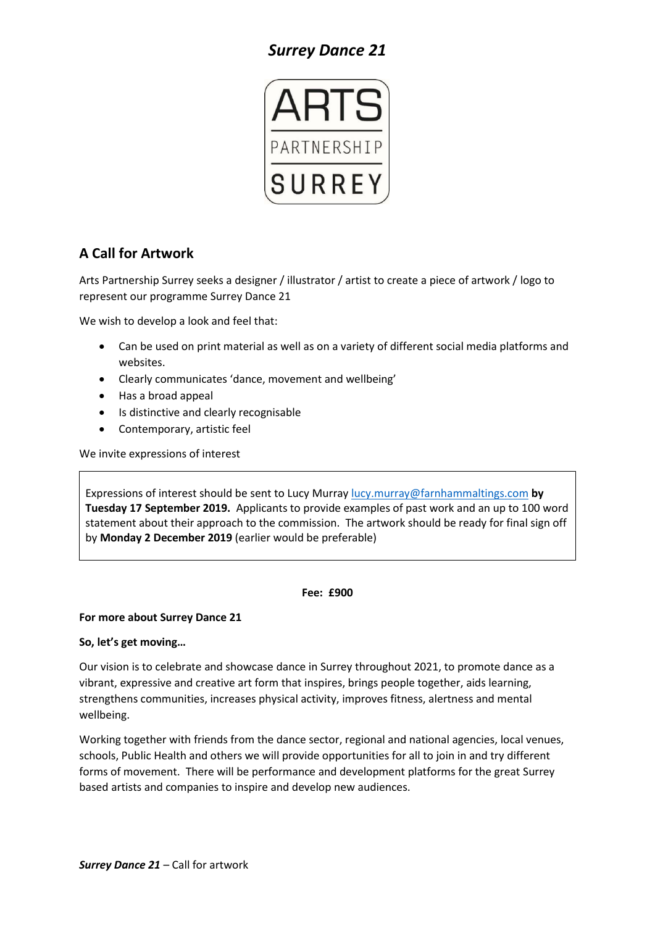# *Surrey Dance 21*



# **A Call for Artwork**

Arts Partnership Surrey seeks a designer / illustrator / artist to create a piece of artwork / logo to represent our programme Surrey Dance 21

We wish to develop a look and feel that:

- Can be used on print material as well as on a variety of different social media platforms and websites.
- Clearly communicates 'dance, movement and wellbeing'
- Has a broad appeal
- Is distinctive and clearly recognisable
- Contemporary, artistic feel

We invite expressions of interest

Expressions of interest should be sent to Lucy Murray [lucy.murray@farnhammaltings.com](mailto:lucy.murray@farnhammaltings.com) **by Tuesday 17 September 2019.** Applicants to provide examples of past work and an up to 100 word statement about their approach to the commission. The artwork should be ready for final sign off by **Monday 2 December 2019** (earlier would be preferable)

#### **Fee: £900**

## **For more about Surrey Dance 21**

## **So, let's get moving…**

Our vision is to celebrate and showcase dance in Surrey throughout 2021, to promote dance as a vibrant, expressive and creative art form that inspires, brings people together, aids learning, strengthens communities, increases physical activity, improves fitness, alertness and mental wellbeing.

Working together with friends from the dance sector, regional and national agencies, local venues, schools, Public Health and others we will provide opportunities for all to join in and try different forms of movement. There will be performance and development platforms for the great Surrey based artists and companies to inspire and develop new audiences.